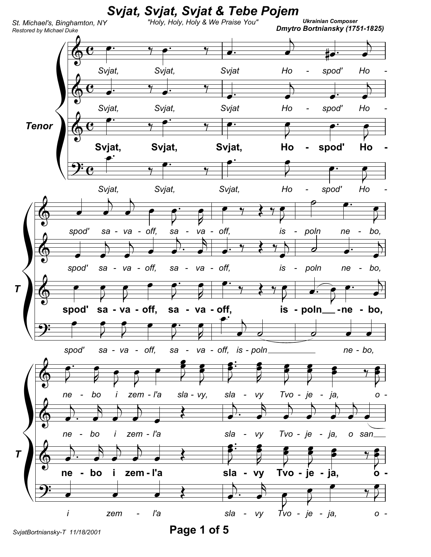

Page 1 of 5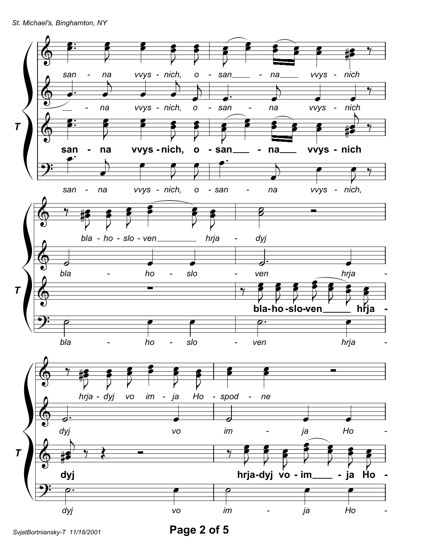

Page 2 of 5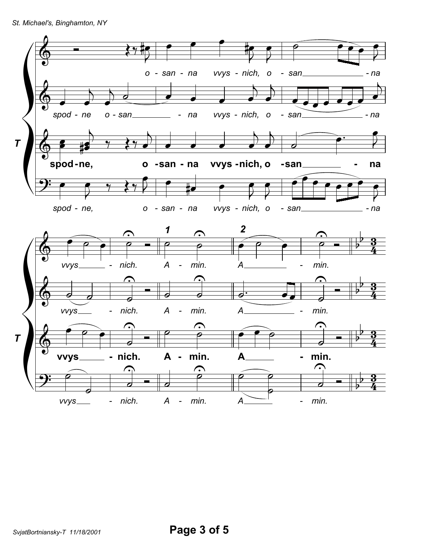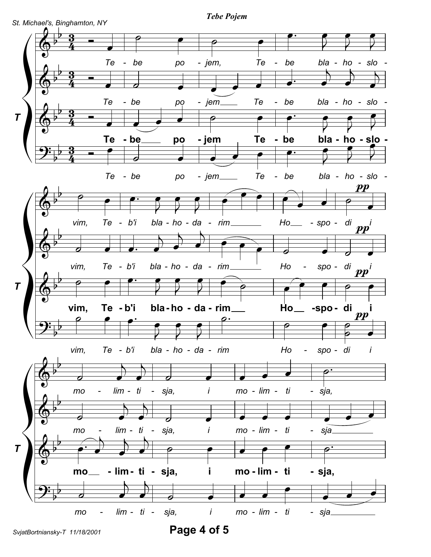

Page 4 of 5